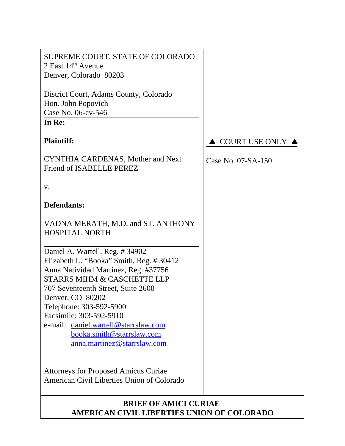| SUPREME COURT, STATE OF COLORADO<br>2 East 14th Avenue<br>Denver, Colorado 80203                                                                            |                    |
|-------------------------------------------------------------------------------------------------------------------------------------------------------------|--------------------|
| District Court, Adams County, Colorado<br>Hon. John Popovich<br>Case No. 06-cv-546                                                                          |                    |
| In Re:                                                                                                                                                      |                    |
| <b>Plaintiff:</b>                                                                                                                                           | COURT USE ONLY     |
| <b>CYNTHIA CARDENAS, Mother and Next</b><br>Friend of ISABELLE PEREZ                                                                                        | Case No. 07-SA-150 |
| V.                                                                                                                                                          |                    |
| <b>Defendants:</b>                                                                                                                                          |                    |
| VADNA MERATH, M.D. and ST. ANTHONY<br><b>HOSPITAL NORTH</b>                                                                                                 |                    |
| Daniel A. Wartell, Reg. #34902<br>Elizabeth L. "Booka" Smith, Reg. #30412<br>Anna Natividad Martinez, Reg. #37756<br><b>STARRS MIHM &amp; CASCHETTE LLP</b> |                    |
| 707 Seventeenth Street, Suite 2600<br>Denver, CO 80202                                                                                                      |                    |
| Telephone: 303-592-5900<br>Facsimile: 303-592-5910                                                                                                          |                    |
| e-mail: daniel.wartell@starrslaw.com<br>booka.smith@starrslaw.com<br>anna.martinez@starrslaw.com                                                            |                    |
| <b>Attorneys for Proposed Amicus Curiae</b><br>American Civil Liberties Union of Colorado                                                                   |                    |

## **BRIEF OF AMICI CURIAE AMERICAN CIVIL LIBERTIES UNION OF COLORADO**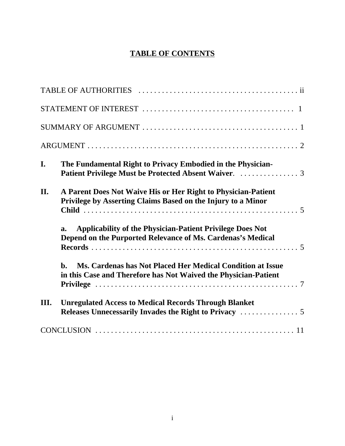# **TABLE OF CONTENTS**

| I.   | The Fundamental Right to Privacy Embodied in the Physician-                                                                                     |
|------|-------------------------------------------------------------------------------------------------------------------------------------------------|
| II.  | A Parent Does Not Waive His or Her Right to Physician-Patient<br>Privilege by Asserting Claims Based on the Injury to a Minor                   |
|      | <b>Applicability of the Physician-Patient Privilege Does Not</b><br>a.<br>Depend on the Purported Relevance of Ms. Cardenas's Medical           |
|      | Ms. Cardenas has Not Placed Her Medical Condition at Issue<br>$\mathbf{h}$ .<br>in this Case and Therefore has Not Waived the Physician-Patient |
| III. | <b>Unregulated Access to Medical Records Through Blanket</b>                                                                                    |
|      |                                                                                                                                                 |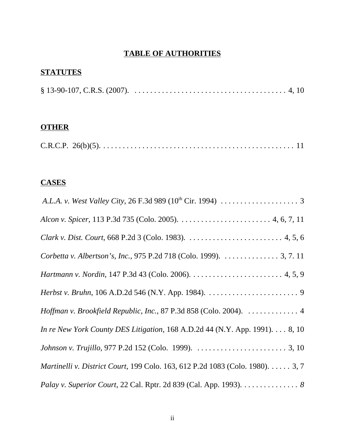## **TABLE OF AUTHORITIES**

# **STATUTES**

|--|

# **OTHER**

|--|--|--|--|--|--|--|--|--|

## **CASES**

| Corbetta v. Albertson's, Inc., 975 P.2d 718 (Colo. 1999). 3, 7. 11            |
|-------------------------------------------------------------------------------|
|                                                                               |
|                                                                               |
| Hoffman v. Brookfield Republic, Inc., 87 P.3d 858 (Colo. 2004).  4            |
| In re New York County DES Litigation, 168 A.D.2d 44 (N.Y. App. 1991). 8, 10   |
|                                                                               |
| Martinelli v. District Court, 199 Colo. 163, 612 P.2d 1083 (Colo. 1980). 3, 7 |
| Palay v. Superior Court, 22 Cal. Rptr. 2d 839 (Cal. App. 1993). 8             |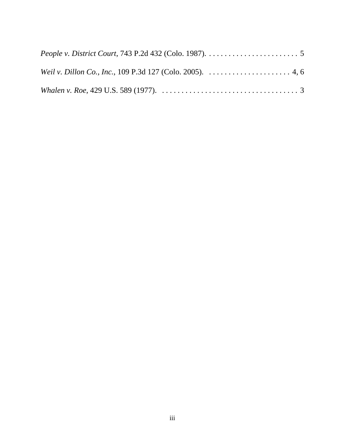| <i>People v. District Court, 743 P.2d 432 (Colo. 1987).</i> $\dots \dots \dots \dots \dots \dots \dots \dots$             |  |
|---------------------------------------------------------------------------------------------------------------------------|--|
| <i>Weil v. Dillon Co., Inc., 109 P.3d 127 (Colo. 2005).</i> $\dots \dots \dots \dots \dots \dots \dots 4, 6$              |  |
| Whalen v. Roe, 429 U.S. 589 (1977). $\ldots \ldots \ldots \ldots \ldots \ldots \ldots \ldots \ldots \ldots \ldots \ldots$ |  |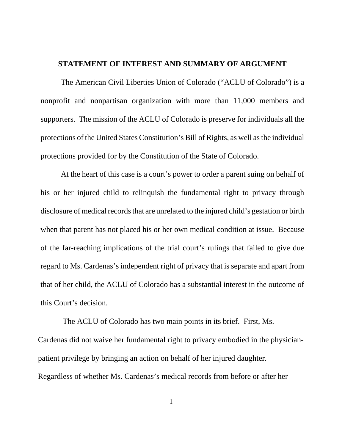#### **STATEMENT OF INTEREST AND SUMMARY OF ARGUMENT**

The American Civil Liberties Union of Colorado ("ACLU of Colorado") is a nonprofit and nonpartisan organization with more than 11,000 members and supporters. The mission of the ACLU of Colorado is preserve for individuals all the protections of the United States Constitution's Bill of Rights, as well as the individual protections provided for by the Constitution of the State of Colorado.

At the heart of this case is a court's power to order a parent suing on behalf of his or her injured child to relinquish the fundamental right to privacy through disclosure of medical records that are unrelated to the injured child's gestation or birth when that parent has not placed his or her own medical condition at issue. Because of the far-reaching implications of the trial court's rulings that failed to give due regard to Ms. Cardenas's independent right of privacy that is separate and apart from that of her child, the ACLU of Colorado has a substantial interest in the outcome of this Court's decision.

 The ACLU of Colorado has two main points in its brief. First, Ms. Cardenas did not waive her fundamental right to privacy embodied in the physicianpatient privilege by bringing an action on behalf of her injured daughter. Regardless of whether Ms. Cardenas's medical records from before or after her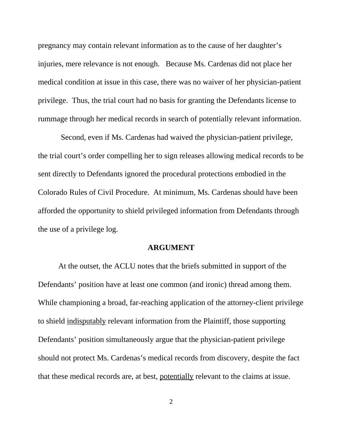pregnancy may contain relevant information as to the cause of her daughter's injuries, mere relevance is not enough. Because Ms. Cardenas did not place her medical condition at issue in this case, there was no waiver of her physician-patient privilege. Thus, the trial court had no basis for granting the Defendants license to rummage through her medical records in search of potentially relevant information.

Second, even if Ms. Cardenas had waived the physician-patient privilege, the trial court's order compelling her to sign releases allowing medical records to be sent directly to Defendants ignored the procedural protections embodied in the Colorado Rules of Civil Procedure. At minimum, Ms. Cardenas should have been afforded the opportunity to shield privileged information from Defendants through the use of a privilege log.

#### **ARGUMENT**

At the outset, the ACLU notes that the briefs submitted in support of the Defendants' position have at least one common (and ironic) thread among them. While championing a broad, far-reaching application of the attorney-client privilege to shield indisputably relevant information from the Plaintiff, those supporting Defendants' position simultaneously argue that the physician-patient privilege should not protect Ms. Cardenas's medical records from discovery, despite the fact that these medical records are, at best, potentially relevant to the claims at issue.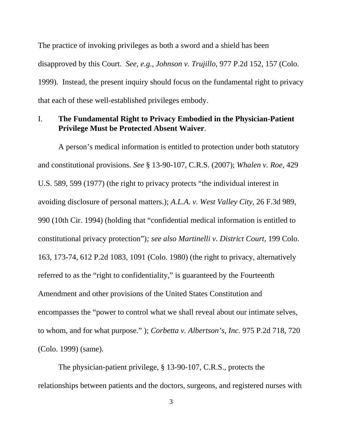The practice of invoking privileges as both a sword and a shield has been disapproved by this Court. *See, e.g., Johnson v. Trujillo*, 977 P.2d 152, 157 (Colo. 1999). Instead, the present inquiry should focus on the fundamental right to privacy that each of these well-established privileges embody.

### I. **The Fundamental Right to Privacy Embodied in the Physician-Patient Privilege Must be Protected Absent Waiver**.

A person's medical information is entitled to protection under both statutory and constitutional provisions. *See* § 13-90-107, C.R.S. (2007); *Whalen v. Roe*, 429 U.S. 589, 599 (1977) (the right to privacy protects "the individual interest in avoiding disclosure of personal matters.); *A.L.A. v. West Valley City*, 26 F.3d 989, 990 (10th Cir. 1994) (holding that "confidential medical information is entitled to constitutional privacy protection")*; see also Martinelli v. District Court*, 199 Colo. 163, 173-74, 612 P.2d 1083, 1091 (Colo. 1980) (the right to privacy, alternatively referred to as the "right to confidentiality," is guaranteed by the Fourteenth Amendment and other provisions of the United States Constitution and encompasses the "power to control what we shall reveal about our intimate selves, to whom, and for what purpose." ); *Corbetta v. Albertson's, Inc.* 975 P.2d 718, 720 (Colo. 1999) (same).

The physician-patient privilege, § 13-90-107, C.R.S., protects the relationships between patients and the doctors, surgeons, and registered nurses with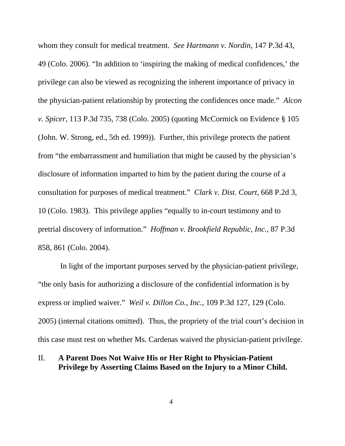whom they consult for medical treatment. *See Hartmann v. Nordin*, 147 P.3d 43, 49 (Colo. 2006). "In addition to 'inspiring the making of medical confidences,' the privilege can also be viewed as recognizing the inherent importance of privacy in the physician-patient relationship by protecting the confidences once made." *Alcon v. Spicer*, 113 P.3d 735, 738 (Colo. 2005) (quoting McCormick on Evidence § 105 (John. W. Strong, ed., 5th ed. 1999)). Further, this privilege protects the patient from "the embarrassment and humiliation that might be caused by the physician's disclosure of information imparted to him by the patient during the course of a consultation for purposes of medical treatment." *Clark v. Dist. Court*, 668 P.2d 3, 10 (Colo. 1983). This privilege applies "equally to in-court testimony and to pretrial discovery of information." *Hoffman v. Brookfield Republic, Inc.*, 87 P.3d 858, 861 (Colo. 2004).

 In light of the important purposes served by the physician-patient privilege, "the only basis for authorizing a disclosure of the confidential information is by express or implied waiver." *Weil v. Dillon Co., Inc.*, 109 P.3d 127, 129 (Colo. 2005) (internal citations omitted). Thus, the propriety of the trial court's decision in this case must rest on whether Ms. Cardenas waived the physician-patient privilege.

#### II. **A Parent Does Not Waive His or Her Right to Physician-Patient Privilege by Asserting Claims Based on the Injury to a Minor Child.**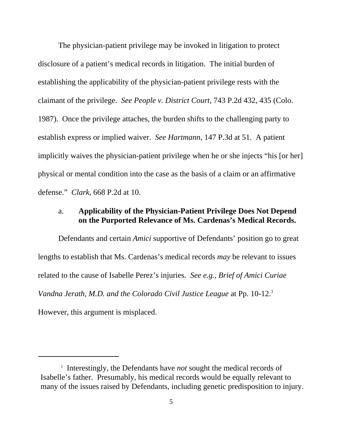The physician-patient privilege may be invoked in litigation to protect disclosure of a patient's medical records in litigation. The initial burden of establishing the applicability of the physician-patient privilege rests with the claimant of the privilege. *See People v. District Court*, 743 P.2d 432, 435 (Colo. 1987). Once the privilege attaches, the burden shifts to the challenging party to establish express or implied waiver. *See Hartmann*, 147 P.3d at 51. A patient implicitly waives the physician-patient privilege when he or she injects "his [or her] physical or mental condition into the case as the basis of a claim or an affirmative defense." *Clark*, 668 P.2d at 10.

### a. **Applicability of the Physician-Patient Privilege Does Not Depend on the Purported Relevance of Ms. Cardenas's Medical Records.**

Defendants and certain *Amici* supportive of Defendants' position go to great lengths to establish that Ms. Cardenas's medical records *may* be relevant to issues related to the cause of Isabelle Perez's injuries. *See e.g., Brief of Amici Curiae Vandna Jerath, M.D. and the Colorado Civil Justice League* at Pp. 10-12.<sup>1</sup> However, this argument is misplaced.

<sup>&</sup>lt;sup>1</sup> Interestingly, the Defendants have *not* sought the medical records of Isabelle's father. Presumably, his medical records would be equally relevant to many of the issues raised by Defendants, including genetic predisposition to injury.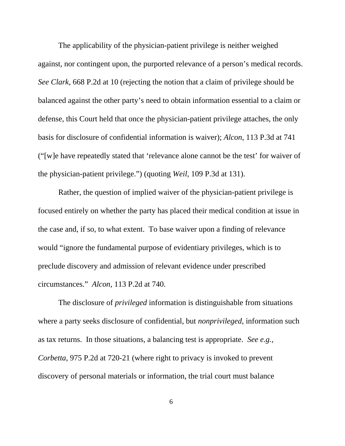The applicability of the physician-patient privilege is neither weighed against, nor contingent upon, the purported relevance of a person's medical records. *See Clark,* 668 P.2d at 10 (rejecting the notion that a claim of privilege should be balanced against the other party's need to obtain information essential to a claim or defense, this Court held that once the physician-patient privilege attaches, the only basis for disclosure of confidential information is waiver); *Alcon*, 113 P.3d at 741 ("[w]e have repeatedly stated that 'relevance alone cannot be the test' for waiver of the physician-patient privilege.") (quoting *Weil*, 109 P.3d at 131).

Rather, the question of implied waiver of the physician-patient privilege is focused entirely on whether the party has placed their medical condition at issue in the case and, if so, to what extent. To base waiver upon a finding of relevance would "ignore the fundamental purpose of evidentiary privileges, which is to preclude discovery and admission of relevant evidence under prescribed circumstances." *Alcon*, 113 P.2d at 740.

The disclosure of *privileged* information is distinguishable from situations where a party seeks disclosure of confidential, but *nonprivileged*, information such as tax returns. In those situations, a balancing test is appropriate. *See e.g., Corbetta*, 975 P.2d at 720-21 (where right to privacy is invoked to prevent discovery of personal materials or information, the trial court must balance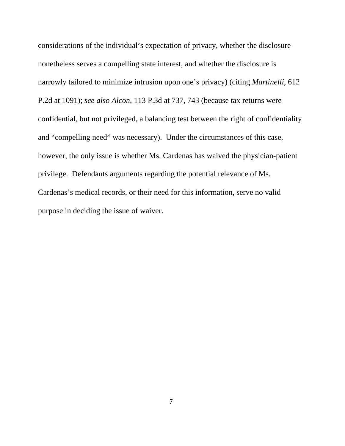considerations of the individual's expectation of privacy, whether the disclosure nonetheless serves a compelling state interest, and whether the disclosure is narrowly tailored to minimize intrusion upon one's privacy) (citing *Martinelli,* 612 P.2d at 1091); *see also Alcon*, 113 P.3d at 737, 743 (because tax returns were confidential, but not privileged, a balancing test between the right of confidentiality and "compelling need" was necessary). Under the circumstances of this case, however, the only issue is whether Ms. Cardenas has waived the physician-patient privilege. Defendants arguments regarding the potential relevance of Ms. Cardenas's medical records, or their need for this information, serve no valid purpose in deciding the issue of waiver.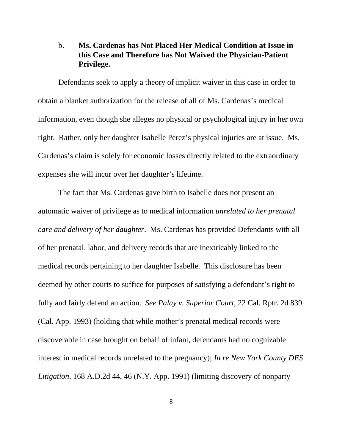### b. **Ms. Cardenas has Not Placed Her Medical Condition at Issue in this Case and Therefore has Not Waived the Physician-Patient Privilege.**

Defendants seek to apply a theory of implicit waiver in this case in order to obtain a blanket authorization for the release of all of Ms. Cardenas's medical information, even though she alleges no physical or psychological injury in her own right. Rather, only her daughter Isabelle Perez's physical injuries are at issue. Ms. Cardenas's claim is solely for economic losses directly related to the extraordinary expenses she will incur over her daughter's lifetime.

The fact that Ms. Cardenas gave birth to Isabelle does not present an automatic waiver of privilege as to medical information *unrelated to her prenatal care and delivery of her daughter*. Ms. Cardenas has provided Defendants with all of her prenatal, labor, and delivery records that are inextricably linked to the medical records pertaining to her daughter Isabelle. This disclosure has been deemed by other courts to suffice for purposes of satisfying a defendant's right to fully and fairly defend an action. *See Palay v. Superior Court*, 22 Cal. Rptr. 2d 839 (Cal. App. 1993) (holding that while mother's prenatal medical records were discoverable in case brought on behalf of infant, defendants had no cognizable interest in medical records unrelated to the pregnancy); *In re New York County DES Litigation*, 168 A.D.2d 44, 46 (N.Y. App. 1991) (limiting discovery of nonparty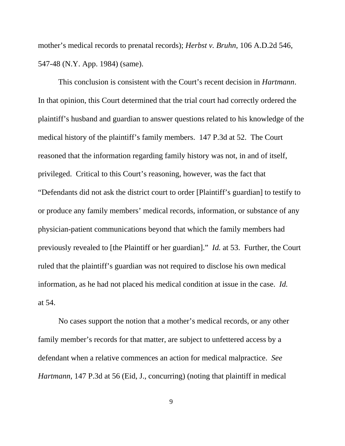mother's medical records to prenatal records); *Herbst v. Bruhn*, 106 A.D.2d 546, 547-48 (N.Y. App. 1984) (same).

This conclusion is consistent with the Court's recent decision in *Hartmann*. In that opinion, this Court determined that the trial court had correctly ordered the plaintiff's husband and guardian to answer questions related to his knowledge of the medical history of the plaintiff's family members. 147 P.3d at 52. The Court reasoned that the information regarding family history was not, in and of itself, privileged. Critical to this Court's reasoning, however, was the fact that "Defendants did not ask the district court to order [Plaintiff's guardian] to testify to or produce any family members' medical records, information, or substance of any physician-patient communications beyond that which the family members had previously revealed to [the Plaintiff or her guardian]." *Id.* at 53. Further, the Court ruled that the plaintiff's guardian was not required to disclose his own medical information, as he had not placed his medical condition at issue in the case. *Id.* at 54.

No cases support the notion that a mother's medical records, or any other family member's records for that matter, are subject to unfettered access by a defendant when a relative commences an action for medical malpractice. *See Hartmann*, 147 P.3d at 56 (Eid, J., concurring) (noting that plaintiff in medical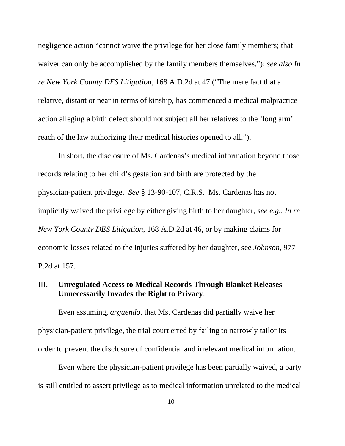negligence action "cannot waive the privilege for her close family members; that waiver can only be accomplished by the family members themselves."); *see also In re New York County DES Litigation*, 168 A.D.2d at 47 ("The mere fact that a relative, distant or near in terms of kinship, has commenced a medical malpractice action alleging a birth defect should not subject all her relatives to the 'long arm' reach of the law authorizing their medical histories opened to all.").

In short, the disclosure of Ms. Cardenas's medical information beyond those records relating to her child's gestation and birth are protected by the physician-patient privilege. *See* § 13-90-107, C.R.S. Ms. Cardenas has not implicitly waived the privilege by either giving birth to her daughter, *see e.g.*, *In re New York County DES Litigation*, 168 A.D.2d at 46, or by making claims for economic losses related to the injuries suffered by her daughter, see *Johnson*, 977 P.2d at 157.

### III. **Unregulated Access to Medical Records Through Blanket Releases Unnecessarily Invades the Right to Privacy**.

Even assuming, *arguendo*, that Ms. Cardenas did partially waive her physician-patient privilege, the trial court erred by failing to narrowly tailor its order to prevent the disclosure of confidential and irrelevant medical information.

Even where the physician-patient privilege has been partially waived, a party is still entitled to assert privilege as to medical information unrelated to the medical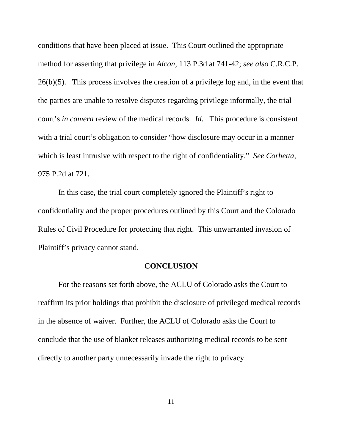conditions that have been placed at issue. This Court outlined the appropriate method for asserting that privilege in *Alcon*, 113 P.3d at 741-42; *see also* C.R.C.P. 26(b)(5). This process involves the creation of a privilege log and, in the event that the parties are unable to resolve disputes regarding privilege informally, the trial court's *in camera* review of the medical records. *Id.* This procedure is consistent with a trial court's obligation to consider "how disclosure may occur in a manner which is least intrusive with respect to the right of confidentiality." *See Corbetta*, 975 P.2d at 721.

In this case, the trial court completely ignored the Plaintiff's right to confidentiality and the proper procedures outlined by this Court and the Colorado Rules of Civil Procedure for protecting that right. This unwarranted invasion of Plaintiff's privacy cannot stand.

#### **CONCLUSION**

For the reasons set forth above, the ACLU of Colorado asks the Court to reaffirm its prior holdings that prohibit the disclosure of privileged medical records in the absence of waiver. Further, the ACLU of Colorado asks the Court to conclude that the use of blanket releases authorizing medical records to be sent directly to another party unnecessarily invade the right to privacy.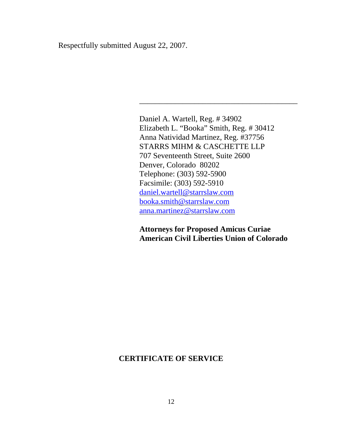Respectfully submitted August 22, 2007.

Daniel A. Wartell, Reg. # 34902 Elizabeth L. "Booka" Smith, Reg. # 30412 Anna Natividad Martinez, Reg. #37756 STARRS MIHM & CASCHETTE LLP 707 Seventeenth Street, Suite 2600 Denver, Colorado 80202 Telephone: (303) 592-5900 Facsimile: (303) 592-5910 daniel.wartell@starrslaw.com booka.smith@starrslaw.com anna.martinez@starrslaw.com

\_\_\_\_\_\_\_\_\_\_\_\_\_\_\_\_\_\_\_\_\_\_\_\_\_\_\_\_\_\_\_\_\_\_\_\_\_\_\_\_

**Attorneys for Proposed Amicus Curiae American Civil Liberties Union of Colorado**

#### **CERTIFICATE OF SERVICE**